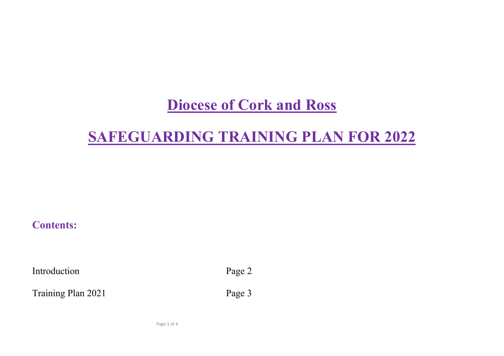# **Diocese of Cork and Ross**

# **SAFEGUARDING TRAINING PLAN FOR 2022**

## **Contents:**

Introduction Page 2

Training Plan 2021 Page 3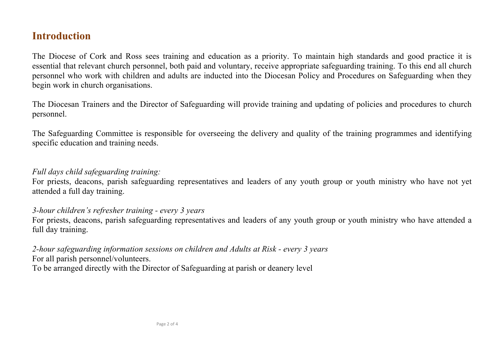## **Introduction**

The Diocese of Cork and Ross sees training and education as a priority. To maintain high standards and good practice it is essential that relevant church personnel, both paid and voluntary, receive appropriate safeguarding training. To this end all church personnel who work with children and adults are inducted into the Diocesan Policy and Procedures on Safeguarding when they begin work in church organisations.

The Diocesan Trainers and the Director of Safeguarding will provide training and updating of policies and procedures to church personnel.

The Safeguarding Committee is responsible for overseeing the delivery and quality of the training programmes and identifying specific education and training needs.

#### *Full days child safeguarding training:*

For priests, deacons, parish safeguarding representatives and leaders of any youth group or youth ministry who have not yet attended a full day training.

### *3-hour children's refresher training - every 3 years*

For priests, deacons, parish safeguarding representatives and leaders of any youth group or youth ministry who have attended a full day training.

*2-hour safeguarding information sessions on children and Adults at Risk - every 3 years* For all parish personnel/volunteers. To be arranged directly with the Director of Safeguarding at parish or deanery level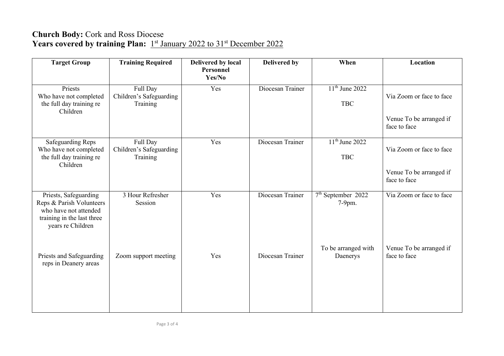### **Church Body:** Cork and Ross Diocese Years covered by training Plan: 1<sup>st</sup> January 2022 to 31<sup>st</sup> December 2022

| <b>Target Group</b>                                                                                                           | <b>Training Required</b>                        | Delivered by local  | <b>Delivered by</b> | When                             | Location                                |
|-------------------------------------------------------------------------------------------------------------------------------|-------------------------------------------------|---------------------|---------------------|----------------------------------|-----------------------------------------|
|                                                                                                                               |                                                 | Personnel<br>Yes/No |                     |                                  |                                         |
| Priests<br>Who have not completed<br>the full day training re                                                                 | Full Day<br>Children's Safeguarding<br>Training | Yes                 | Diocesan Trainer    | $11th$ June 2022<br><b>TBC</b>   | Via Zoom or face to face                |
| Children                                                                                                                      |                                                 |                     |                     |                                  | Venue To be arranged if<br>face to face |
| <b>Safeguarding Reps</b><br>Who have not completed<br>the full day training re<br>Children                                    | Full Day<br>Children's Safeguarding<br>Training | Yes                 | Diocesan Trainer    | $11th$ June 2022<br><b>TBC</b>   | Via Zoom or face to face                |
|                                                                                                                               |                                                 |                     |                     |                                  | Venue To be arranged if<br>face to face |
| Priests, Safeguarding<br>Reps & Parish Volunteers<br>who have not attended<br>training in the last three<br>years re Children | 3 Hour Refresher<br>Session                     | Yes                 | Diocesan Trainer    | $7th$ September $2022$<br>7-9pm. | Via Zoom or face to face                |
| Priests and Safeguarding<br>reps in Deanery areas                                                                             | Zoom support meeting                            | Yes                 | Diocesan Trainer    | To be arranged with<br>Daenerys  | Venue To be arranged if<br>face to face |
|                                                                                                                               |                                                 |                     |                     |                                  |                                         |